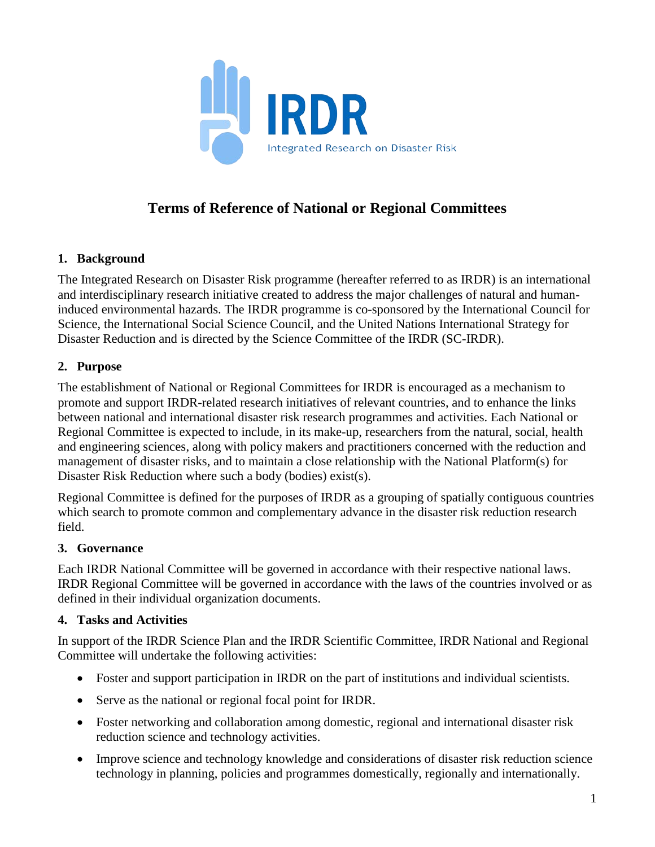

# **Terms of Reference of National or Regional Committees**

# **1. Background**

The Integrated Research on Disaster Risk programme (hereafter referred to as IRDR) is an international and interdisciplinary research initiative created to address the major challenges of natural and humaninduced environmental hazards. The IRDR programme is co-sponsored by the International Council for Science, the International Social Science Council, and the United Nations International Strategy for Disaster Reduction and is directed by the Science Committee of the IRDR (SC-IRDR).

# **2. Purpose**

The establishment of National or Regional Committees for IRDR is encouraged as a mechanism to promote and support IRDR-related research initiatives of relevant countries, and to enhance the links between national and international disaster risk research programmes and activities. Each National or Regional Committee is expected to include, in its make-up, researchers from the natural, social, health and engineering sciences, along with policy makers and practitioners concerned with the reduction and management of disaster risks, and to maintain a close relationship with the National Platform(s) for Disaster Risk Reduction where such a body (bodies) exist(s).

Regional Committee is defined for the purposes of IRDR as a grouping of spatially contiguous countries which search to promote common and complementary advance in the disaster risk reduction research field.

### **3. Governance**

Each IRDR National Committee will be governed in accordance with their respective national laws. IRDR Regional Committee will be governed in accordance with the laws of the countries involved or as defined in their individual organization documents.

### **4. Tasks and Activities**

In support of the IRDR Science Plan and the IRDR Scientific Committee, IRDR National and Regional Committee will undertake the following activities:

- Foster and support participation in IRDR on the part of institutions and individual scientists.
- Serve as the national or regional focal point for IRDR.
- Foster networking and collaboration among domestic, regional and international disaster risk reduction science and technology activities.
- Improve science and technology knowledge and considerations of disaster risk reduction science technology in planning, policies and programmes domestically, regionally and internationally.